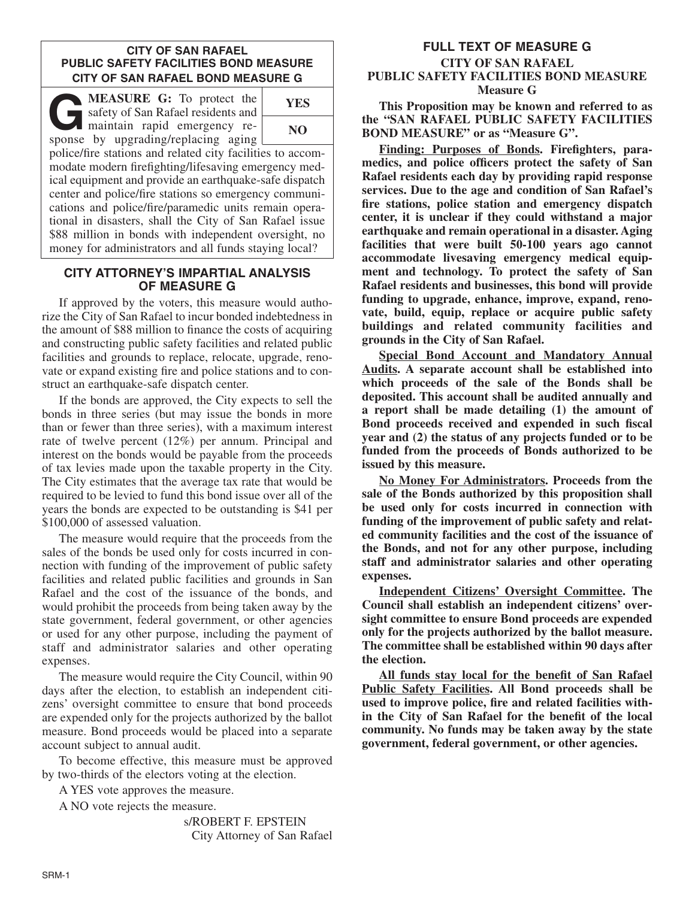#### **CITY OF SAN RAFAEL PUBLIC SAFETY FACILITIES BOND MEASURE CITY OF SAN RAFAEL BOND MEASURE G**

**G:** To protect the safety of San Rafael residents and maintain rapid emergency resafety of San Rafael residents and maintain rapid emergency response by upgrading/replacing aging police/fire stations and related city facilities to accommodate modern firefighting/lifesaving emergency medical equipment and provide an earthquake-safe dispatch center and police/fire stations so emergency communications and police/fire/paramedic units remain operational in disasters, shall the City of San Rafael issue \$88 million in bonds with independent oversight, no money for administrators and all funds staying local? **YES NO**

### **CITY ATTORNEY'S IMPARTIAL ANALYSIS OF MEASURE G**

If approved by the voters, this measure would authorize the City of San Rafael to incur bonded indebtedness in the amount of \$88 million to finance the costs of acquiring and constructing public safety facilities and related public facilities and grounds to replace, relocate, upgrade, renovate or expand existing fire and police stations and to construct an earthquake-safe dispatch center.

If the bonds are approved, the City expects to sell the bonds in three series (but may issue the bonds in more than or fewer than three series), with a maximum interest rate of twelve percent (12%) per annum. Principal and interest on the bonds would be payable from the proceeds of tax levies made upon the taxable property in the City. The City estimates that the average tax rate that would be required to be levied to fund this bond issue over all of the years the bonds are expected to be outstanding is \$41 per \$100,000 of assessed valuation.

The measure would require that the proceeds from the sales of the bonds be used only for costs incurred in connection with funding of the improvement of public safety facilities and related public facilities and grounds in San Rafael and the cost of the issuance of the bonds, and would prohibit the proceeds from being taken away by the state government, federal government, or other agencies or used for any other purpose, including the payment of staff and administrator salaries and other operating expenses.

The measure would require the City Council, within 90 days after the election, to establish an independent citizens' oversight committee to ensure that bond proceeds are expended only for the projects authorized by the ballot measure. Bond proceeds would be placed into a separate account subject to annual audit.

To become effective, this measure must be approved by two-thirds of the electors voting at the election.

A YES vote approves the measure.

A NO vote rejects the measure.

s/ROBERT F. EPSTEIN City Attorney of San Rafael

## **FULL TEXT OF MEASURE G CITY OF SAN RAFAEL PUBLIC SAFETY FACILITIES BOND MEASURE Measure G**

**This Proposition may be known and referred to as the "SAN RAFAEL PUBLIC SAFETY FACILITIES BOND MEASURE" or as "Measure G".**

**Finding: Purposes of Bonds. Firefighters, paramedics, and police officers protect the safety of San Rafael residents each day by providing rapid response services. Due to the age and condition of San Rafael's fire stations, police station and emergency dispatch center, it is unclear if they could withstand a major earthquake and remain operational in a disaster. Aging facilities that were built 50-100 years ago cannot accommodate livesaving emergency medical equipment and technology. To protect the safety of San Rafael residents and businesses, this bond will provide funding to upgrade, enhance, improve, expand, renovate, build, equip, replace or acquire public safety buildings and related community facilities and grounds in the City of San Rafael.**

**Special Bond Account and Mandatory Annual Audits. A separate account shall be established into which proceeds of the sale of the Bonds shall be deposited. This account shall be audited annually and a report shall be made detailing (1) the amount of Bond proceeds received and expended in such fiscal year and (2) the status of any projects funded or to be funded from the proceeds of Bonds authorized to be issued by this measure.**

**No Money For Administrators. Proceeds from the sale of the Bonds authorized by this proposition shall be used only for costs incurred in connection with funding of the improvement of public safety and related community facilities and the cost of the issuance of the Bonds, and not for any other purpose, including staff and administrator salaries and other operating expenses.**

**Independent Citizens' Oversight Committee. The Council shall establish an independent citizens' oversight committee to ensure Bond proceeds are expended only for the projects authorized by the ballot measure. The committee shall be established within 90 days after the election.**

**All funds stay local for the benefit of San Rafael Public Safety Facilities. All Bond proceeds shall be used to improve police, fire and related facilities within the City of San Rafael for the benefit of the local community. No funds may be taken away by the state government, federal government, or other agencies.**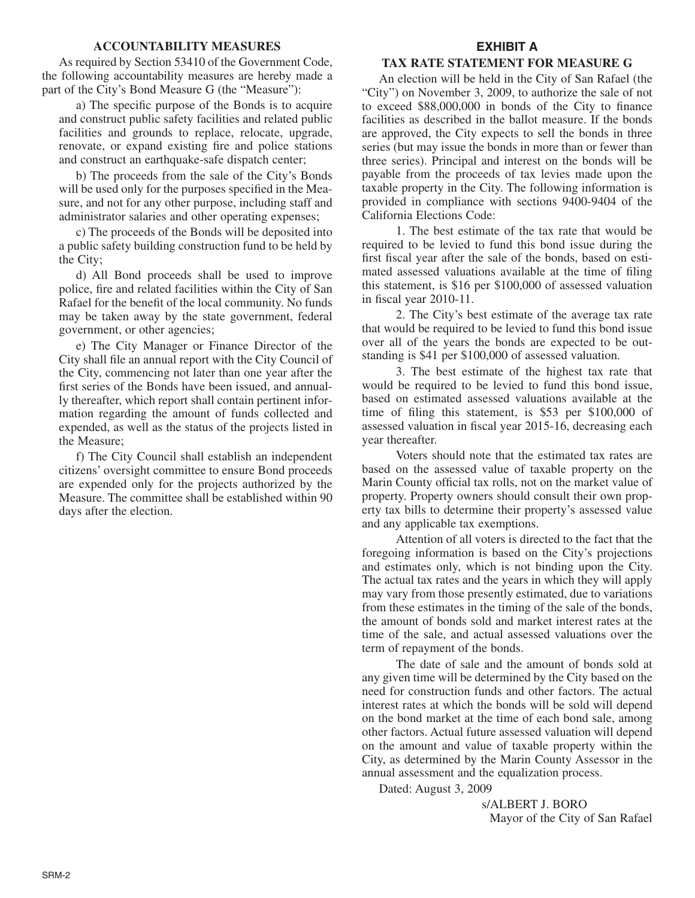#### **ACCOUNTABILITY MEASURES**

As required by Section 53410 of the Government Code, the following accountability measures are hereby made a part of the City's Bond Measure G (the "Measure"):

a) The specific purpose of the Bonds is to acquire and construct public safety facilities and related public facilities and grounds to replace, relocate, upgrade, renovate, or expand existing fire and police stations and construct an earthquake-safe dispatch center;

b) The proceeds from the sale of the City's Bonds will be used only for the purposes specified in the Measure, and not for any other purpose, including staff and administrator salaries and other operating expenses;

c) The proceeds of the Bonds will be deposited into a public safety building construction fund to be held by the City;

d) All Bond proceeds shall be used to improve police, fire and related facilities within the City of San Rafael for the benefit of the local community. No funds may be taken away by the state government, federal government, or other agencies;

e) The City Manager or Finance Director of the City shall file an annual report with the City Council of the City, commencing not later than one year after the first series of the Bonds have been issued, and annually thereafter, which report shall contain pertinent information regarding the amount of funds collected and expended, as well as the status of the projects listed in the Measure;

f) The City Council shall establish an independent citizens' oversight committee to ensure Bond proceeds are expended only for the projects authorized by the Measure. The committee shall be established within 90 days after the election.

#### **EXHIBIT A**

#### **TAX RATE STATEMENT FOR MEASURE G**

An election will be held in the City of San Rafael (the "City") on November 3, 2009, to authorize the sale of not to exceed \$88,000,000 in bonds of the City to finance facilities as described in the ballot measure. If the bonds are approved, the City expects to sell the bonds in three series (but may issue the bonds in more than or fewer than three series). Principal and interest on the bonds will be payable from the proceeds of tax levies made upon the taxable property in the City. The following information is provided in compliance with sections 9400-9404 of the California Elections Code:

1. The best estimate of the tax rate that would be required to be levied to fund this bond issue during the first fiscal year after the sale of the bonds, based on estimated assessed valuations available at the time of filing this statement, is \$16 per \$100,000 of assessed valuation in fiscal year 2010-11.

2. The City's best estimate of the average tax rate that would be required to be levied to fund this bond issue over all of the years the bonds are expected to be outstanding is \$41 per \$100,000 of assessed valuation.

3. The best estimate of the highest tax rate that would be required to be levied to fund this bond issue, based on estimated assessed valuations available at the time of filing this statement, is \$53 per \$100,000 of assessed valuation in fiscal year 2015-16, decreasing each year thereafter.

Voters should note that the estimated tax rates are based on the assessed value of taxable property on the Marin County official tax rolls, not on the market value of property. Property owners should consult their own property tax bills to determine their property's assessed value and any applicable tax exemptions.

Attention of all voters is directed to the fact that the foregoing information is based on the City's projections and estimates only, which is not binding upon the City. The actual tax rates and the years in which they will apply may vary from those presently estimated, due to variations from these estimates in the timing of the sale of the bonds, the amount of bonds sold and market interest rates at the time of the sale, and actual assessed valuations over the term of repayment of the bonds.

The date of sale and the amount of bonds sold at any given time will be determined by the City based on the need for construction funds and other factors. The actual interest rates at which the bonds will be sold will depend on the bond market at the time of each bond sale, among other factors. Actual future assessed valuation will depend on the amount and value of taxable property within the City, as determined by the Marin County Assessor in the annual assessment and the equalization process.

Dated: August 3, 2009

s/ALBERT J. BORO Mayor of the City of San Rafael